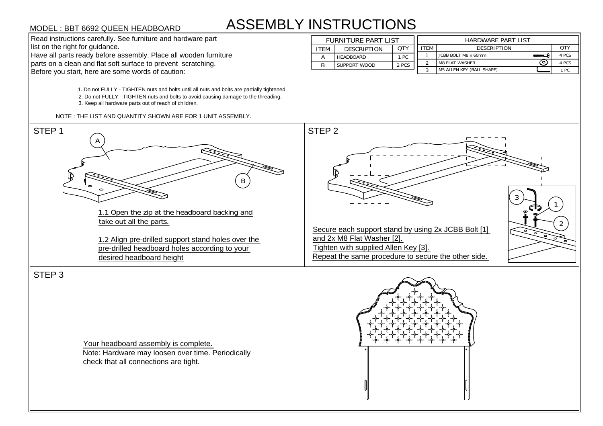## ASSEMBLY INSTRUCTIONS **STRUCTION!**<br>FURNITURE PART LIST<br>ITEM DESCRIPTION QTY

MODEL : BBT 6692 QUEEN HEADBOARD<br>
Read instructions carefully. See furniture and hardware part<br>
list on the right for guidance.<br>
Have all parts ready before assembly. Place all wooden furniture<br>
parts on a clean and flat s

1. Do not FULLY - TIGHTEN nuts and bolts until all nuts and bolts are partially tightened. 1. Do not FULLY - TIGHTEN nuts and bolts until all nuts and bolts are partially tightene<br>2. Do not FULLY - TIGHTEN nuts and bolts to avoid causing damage to the threading. 2. Do not FULLY - TIGHTEN nuts and bolts to avoid causing damage to the threading.<br>3. Keep all hardware parts out of reach of children.



STEP 3

Your headboard assembly is complete. Note: Hardware may loosen over time. Periodically



| <b>ASSEMBLY INSTRUCTIONS</b><br>MODEL : BBT 6692 QUEEN HEADBOARD |      |                            |       |             |                                  |       |
|------------------------------------------------------------------|------|----------------------------|-------|-------------|----------------------------------|-------|
| Read instructions carefully. See furniture and hardware part     |      | <b>FURNITURE PART LIST</b> |       |             | HARDWARE PART LIST               |       |
| list on the right for guidance.                                  | ITEM | <b>DESCRIPTION</b>         | QTY   | <b>ITEM</b> | <b>DESCRIPTION</b>               | QTY   |
| Have all parts ready before assembly. Place all wooden furniture |      | HEADBOARD                  | 1 PC  |             | JCBB BOLT M8 x 60mm              | 4 PCS |
| parts on a clean and flat soft surface to prevent scratching.    |      | SUPPORT WOOD               | 2 PCS |             | <b>M8 FLAT WASHER</b>            | 4 PCS |
| Before you start, here are some words of caution:                |      |                            |       |             | <b>M5 ALLEN KEY (BALL SHAPE)</b> | 1 PC  |